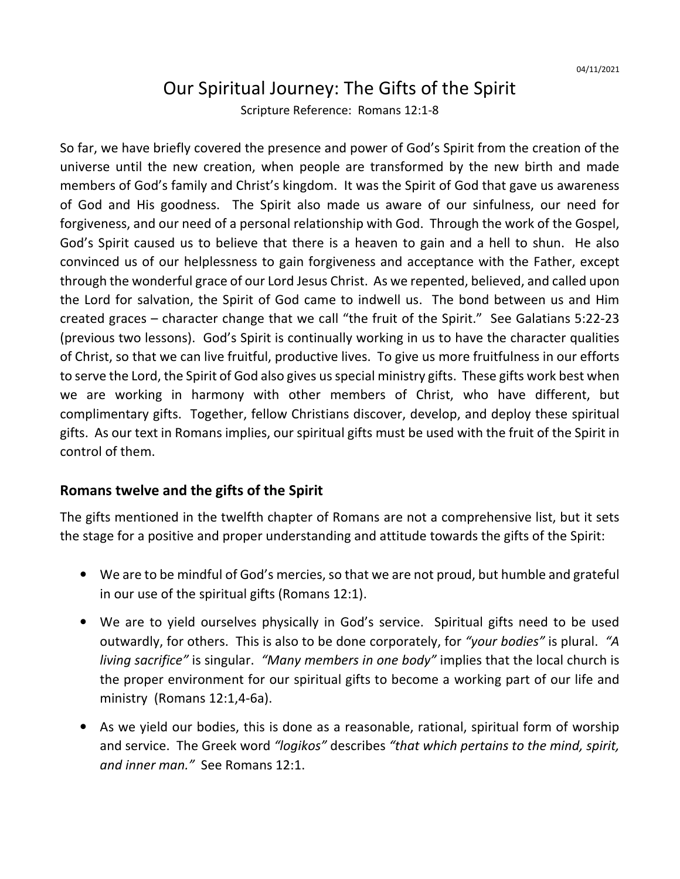## Our Spiritual Journey: The Gifts of the Spirit

Scripture Reference: Romans 12:1-8

So far, we have briefly covered the presence and power of God's Spirit from the creation of the universe until the new creation, when people are transformed by the new birth and made members of God's family and Christ's kingdom. It was the Spirit of God that gave us awareness of God and His goodness. The Spirit also made us aware of our sinfulness, our need for forgiveness, and our need of a personal relationship with God. Through the work of the Gospel, God's Spirit caused us to believe that there is a heaven to gain and a hell to shun. He also convinced us of our helplessness to gain forgiveness and acceptance with the Father, except through the wonderful grace of our Lord Jesus Christ. As we repented, believed, and called upon the Lord for salvation, the Spirit of God came to indwell us. The bond between us and Him created graces – character change that we call "the fruit of the Spirit." See Galatians 5:22-23 (previous two lessons). God's Spirit is continually working in us to have the character qualities of Christ, so that we can live fruitful, productive lives. To give us more fruitfulness in our efforts to serve the Lord, the Spirit of God also gives us special ministry gifts. These gifts work best when we are working in harmony with other members of Christ, who have different, but complimentary gifts. Together, fellow Christians discover, develop, and deploy these spiritual gifts. As our text in Romans implies, our spiritual gifts must be used with the fruit of the Spirit in control of them.

## **Romans twelve and the gifts of the Spirit**

The gifts mentioned in the twelfth chapter of Romans are not a comprehensive list, but it sets the stage for a positive and proper understanding and attitude towards the gifts of the Spirit:

- We are to be mindful of God's mercies, so that we are not proud, but humble and grateful in our use of the spiritual gifts (Romans 12:1).
- We are to yield ourselves physically in God's service. Spiritual gifts need to be used outwardly, for others. This is also to be done corporately, for *"your bodies"* is plural. *"A living sacrifice"* is singular. *"Many members in one body"* implies that the local church is the proper environment for our spiritual gifts to become a working part of our life and ministry (Romans 12:1,4-6a).
- As we yield our bodies, this is done as a reasonable, rational, spiritual form of worship and service. The Greek word *"logikos"* describes *"that which pertains to the mind, spirit, and inner man."* See Romans 12:1.